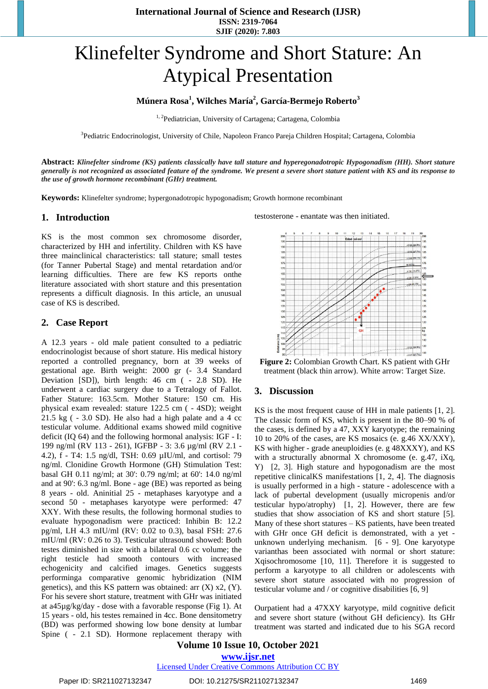# Klinefelter Syndrome and Short Stature: An Atypical Presentation

## **Múnera Rosa<sup>1</sup> , Wilches María<sup>2</sup> , García-Bermejo Roberto<sup>3</sup>**

<sup>1, 2</sup>Pediatrician, University of Cartagena; Cartagena, Colombia

<sup>3</sup>Pediatric Endocrinologist, University of Chile, Napoleon Franco Pareja Children Hospital; Cartagena, Colombia

**Abstract:** *Klinefelter síndrome (KS) patients classically have tall stature and hyperegonadotropic Hypogonadism (HH). Short stature* generally is not recognized as associated feature of the syndrome. We present a severe short stature patient with KS and its response to *the use of growth hormone recombinant (GHr) treatment.* 

**Keywords:** Klinefelter syndrome; hypergonadotropic hypogonadism; Growth hormone recombinant

#### **1. Introduction**

KS is the most common sex chromosome disorder, characterized by HH and infertility. Children with KS have three mainclinical characteristics: tall stature; small testes (for Tanner Pubertal Stage) and mental retardation and/or learning difficulties. There are few KS reports onthe literature associated with short stature and this presentation represents a difficult diagnosis. In this article, an unusual case of KS is described.

#### **2. Case Report**

A 12.3 years - old male patient consulted to a pediatric endocrinologist because of short stature. His medical history reported a controlled pregnancy, born at 39 weeks of gestational age. Birth weight: 2000 gr (- 3.4 Standard Deviation [SD]), birth length: 46 cm ( - 2.8 SD). He underwent a cardiac surgery due to a Tetralogy of Fallot. Father Stature: 163.5cm. Mother Stature: 150 cm. His physical exam revealed: stature 122.5 cm ( - 4SD); weight  $21.5 \text{ kg}$  ( $-3.0 \text{ SD}$ ). He also had a high palate and a 4 cc testicular volume. Additional exams showed mild cognitive deficit (IQ 64) and the following hormonal analysis: IGF - I: 199 ng/ml (RV 113 - 261), IGFBP - 3: 3.6 µg/ml (RV 2.1 - 4.2), f - T4: 1.5 ng/dl, TSH: 0.69 µIU/ml, and cortisol: 79 ng/ml. Clonidine Growth Hormone (GH) Stimulation Test: basal GH 0.11 ng/ml; at 30': 0.79 ng/ml; at 60': 14.0 ng/ml and at 90': 6.3 ng/ml. Bone - age (BE) was reported as being 8 years - old. Aninitial 25 - metaphases karyotype and a second 50 - metaphases karyotype were performed: 47 XXY. With these results, the following hormonal studies to evaluate hypogonadism were practiced: Inhibin B: 12.2 pg/ml, LH 4.3 mIU/ml (RV: 0.02 to 0.3), basal FSH: 27.6 mIU/ml (RV: 0.26 to 3). Testicular ultrasound showed: Both testes diminished in size with a bilateral 0.6 cc volume; the right testicle had smooth contours with increased echogenicity and calcified images. Genetics suggests performinga comparative genomic hybridization (NIM genetics), and this KS pattern was obtained: arr  $(X)$  x2,  $(Y)$ . For his severe short stature, treatment with GHr was initiated at a45µg/kg/day - dose with a favorable response (Fig 1). At 15 years - old, his testes remained in 4cc. Bone densitometry (BD) was performed showing low bone density at lumbar Spine ( - 2.1 SD). Hormone replacement therapy with testosterone - enantate was then initiated.



**Figure 2:** Colombian Growth Chart. KS patient with GHr treatment (black thin arrow). White arrow: Target Size.

### **3. Discussion**

KS is the most frequent cause of HH in male patients [\[1,](#page-1-0) [2\]](#page-1-1). The classic form of KS, which is present in the 80–90 % of the cases, is defined by a 47, XXY karyotype; the remaining 10 to 20% of the cases, are KS mosaics (e. g.46 XX/XXY), KS with higher - grade aneuploidies (e. g 48XXXY), and KS with a structurally abnormal X chromosome (e. g.47, iXq, Y) [\[2,](#page-1-1) [3\]](#page-1-2). High stature and hypogonadism are the most repetitive clinicalKS manifestations [\[1,](#page-1-0) [2,](#page-1-1) [4\]](#page-1-3). The diagnosis is usually performed in a high - stature - adolescence with a lack of pubertal development (usually micropenis and/or testicular hypo/atrophy) [\[1,](#page-1-0) [2\]](#page-1-1). However, there are few studies that show association of KS and short stature [\[5\]](#page-1-4). Many of these short statures – KS patients, have been treated with GHr once GH deficit is demonstrated, with a yet unknown underlying mechanism. [6 - [9\]](#page-1-5). One karyotype varianthas been associated with normal or short stature: Xqisochromosome [\[10,](#page-1-6) [11\]](#page-1-7). Therefore it is suggested to perform a karyotype to all children or adolescents with severe short stature associated with no progression of testicular volume and / or cognitive disabilities [\[6,](#page-1-5) [9\]](#page-1-8)

Ourpatient had a 47XXY karyotype, mild cognitive deficit and severe short stature (without GH deficiency). Its GHr treatment was started and indicated due to his SGA record

**Volume 10 Issue 10, October 2021**

**www.ijsr.net**

Licensed Under Creative Commons Attribution CC BY